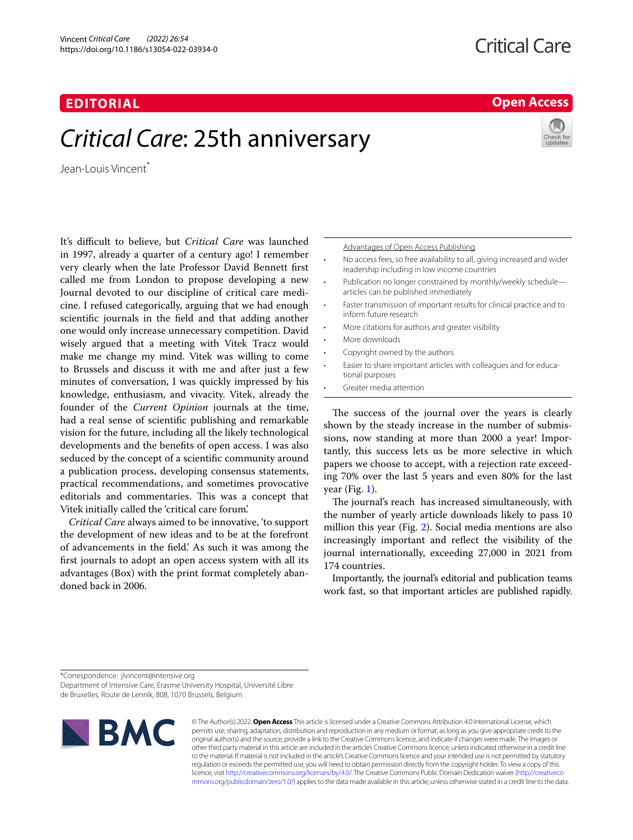# **EDITORIAL**

# *Critical Care*: 25th anniversary

Jean-Louis Vincent<sup>\*</sup>

It's difficult to believe, but *Critical Care* was launched in 1997, already a quarter of a century ago! I remember very clearly when the late Professor David Bennett frst called me from London to propose developing a new Journal devoted to our discipline of critical care medicine. I refused categorically, arguing that we had enough scientifc journals in the feld and that adding another one would only increase unnecessary competition. David wisely argued that a meeting with Vitek Tracz would make me change my mind. Vitek was willing to come to Brussels and discuss it with me and after just a few minutes of conversation, I was quickly impressed by his knowledge, enthusiasm, and vivacity. Vitek, already the founder of the *Current Opinion* journals at the time, had a real sense of scientifc publishing and remarkable vision for the future, including all the likely technological developments and the benefts of open access. I was also seduced by the concept of a scientifc community around a publication process, developing consensus statements, practical recommendations, and sometimes provocative editorials and commentaries. This was a concept that Vitek initially called the 'critical care forum'.

*Critical Care* always aimed to be innovative, 'to support the development of new ideas and to be at the forefront of advancements in the feld.' As such it was among the frst journals to adopt an open access system with all its advantages (Box) with the print format completely abandoned back in 2006.

Advantages of Open Access Publishing

- No access fees, so free availability to all, giving increased and wider readership including in low income countries
- Publication no longer constrained by monthly/weekly schedule articles can be published immediately
- Faster transmission of important results for clinical practice and to inform future research
- More citations for authors and greater visibility
- More downloads
- Copyright owned by the authors
- Easier to share important articles with colleagues and for educational purposes
- Greater media attention

The success of the journal over the years is clearly shown by the steady increase in the number of submissions, now standing at more than 2000 a year! Importantly, this success lets us be more selective in which papers we choose to accept, with a rejection rate exceeding 70% over the last 5 years and even 80% for the last year (Fig.  $1$ ).

The journal's reach has increased simultaneously, with the number of yearly article downloads likely to pass 10 million this year (Fig. [2](#page-1-1)). Social media mentions are also increasingly important and refect the visibility of the journal internationally, exceeding 27,000 in 2021 from 174 countries.

Importantly, the journal's editorial and publication teams work fast, so that important articles are published rapidly.

\*Correspondence: jlvincent@intensive.org

Department of Intensive Care, Erasme University Hospital, Université Libre de Bruxelles, Route de Lennik, 808, 1070 Brussels, Belgium



© The Author(s) 2022. **Open Access** This article is licensed under a Creative Commons Attribution 4.0 International License, which permits use, sharing, adaptation, distribution and reproduction in any medium or format, as long as you give appropriate credit to the original author(s) and the source, provide a link to the Creative Commons licence, and indicate if changes were made. The images or other third party material in this article are included in the article's Creative Commons licence, unless indicated otherwise in a credit line to the material. If material is not included in the article's Creative Commons licence and your intended use is not permitted by statutory regulation or exceeds the permitted use, you will need to obtain permission directly from the copyright holder. To view a copy of this licence, visit [http://creativecommons.org/licenses/by/4.0/.](http://creativecommons.org/licenses/by/4.0/) The Creative Commons Public Domain Dedication waiver ([http://creativeco](http://creativecommons.org/publicdomain/zero/1.0/) [mmons.org/publicdomain/zero/1.0/](http://creativecommons.org/publicdomain/zero/1.0/)) applies to the data made available in this article, unless otherwise stated in a credit line to the data.

# **Open Access**

**Critical Care**